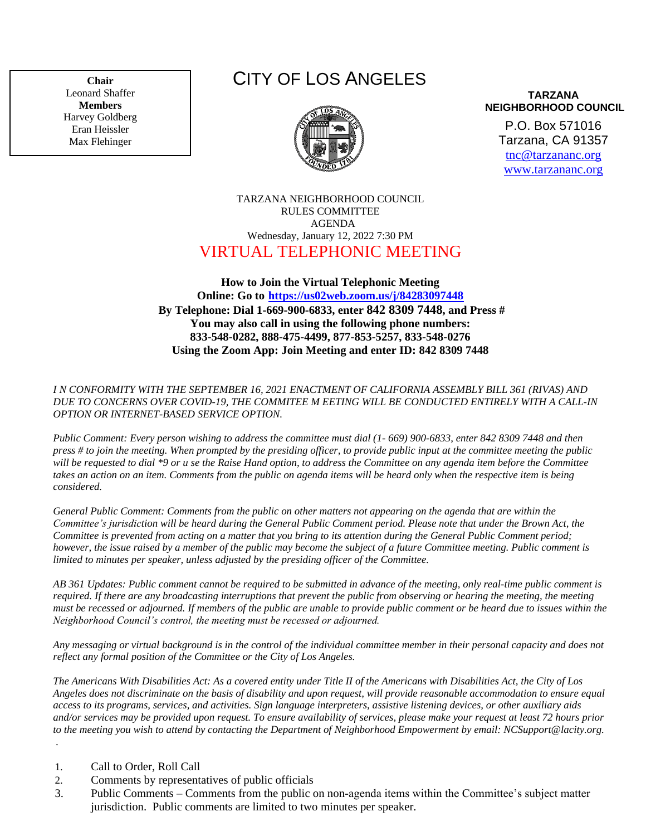**Chair**  Leonard Shaffer **Members** Harvey Goldberg Eran Heissler Max Flehinger

# CITY OF LOS ANGELES



**TARZANA NEIGHBORHOOD COUNCIL**

P.O. Box 571016 Tarzana, CA 91357 [tnc@tarzananc.org](mailto:tnc@tarzananc.org) [www.tarzananc.org](http://www.tarzananc.org/)

## TARZANA NEIGHBORHOOD COUNCIL RULES COMMITTEE AGENDA Wednesday, January 12, 2022 7:30 PM VIRTUAL TELEPHONIC MEETING

# **How to Join the Virtual Telephonic Meeting Online: Go to <https://us02web.zoom.us/j/84283097448> By Telephone: Dial 1-669-900-6833, enter 842 8309 7448, and Press # You may also call in using the following phone numbers: 833-548-0282, 888-475-4499, 877-853-5257, 833-548-0276 Using the Zoom App: Join Meeting and enter ID: 842 8309 7448**

#### *I N CONFORMITY WITH THE SEPTEMBER 16, 2021 ENACTMENT OF CALIFORNIA ASSEMBLY BILL 361 (RIVAS) AND DUE TO CONCERNS OVER COVID-19, THE COMMITEE M EETING WILL BE CONDUCTED ENTIRELY WITH A CALL-IN OPTION OR INTERNET-BASED SERVICE OPTION.*

*Public Comment: Every person wishing to address the committee must dial (1- 669) 900-6833, enter 842 8309 7448 and then press # to join the meeting. When prompted by the presiding officer, to provide public input at the committee meeting the public will be requested to dial \*9 or u se the Raise Hand option, to address the Committee on any agenda item before the Committee takes an action on an item. Comments from the public on agenda items will be heard only when the respective item is being considered.*

*General Public Comment: Comments from the public on other matters not appearing on the agenda that are within the Committee's jurisdiction will be heard during the General Public Comment period. Please note that under the Brown Act, the Committee is prevented from acting on a matter that you bring to its attention during the General Public Comment period; however, the issue raised by a member of the public may become the subject of a future Committee meeting. Public comment is limited to minutes per speaker, unless adjusted by the presiding officer of the Committee.*

*AB 361 Updates: Public comment cannot be required to be submitted in advance of the meeting, only real-time public comment is required. If there are any broadcasting interruptions that prevent the public from observing or hearing the meeting, the meeting must be recessed or adjourned. If members of the public are unable to provide public comment or be heard due to issues within the Neighborhood Council's control, the meeting must be recessed or adjourned.*

*Any messaging or virtual background is in the control of the individual committee member in their personal capacity and does not reflect any formal position of the Committee or the City of Los Angeles.*

*The Americans With Disabilities Act: As a covered entity under Title II of the Americans with Disabilities Act, the City of Los Angeles does not discriminate on the basis of disability and upon request, will provide reasonable accommodation to ensure equal access to its programs, services, and activities. Sign language interpreters, assistive listening devices, or other auxiliary aids and/or services may be provided upon request. To ensure availability of services, please make your request at least 72 hours prior to the meeting you wish to attend by contacting the Department of Neighborhood Empowerment by email: NCSupport@lacity.org.* .

- 1. Call to Order, Roll Call
- 2. Comments by representatives of public officials
- 3. Public Comments Comments from the public on non-agenda items within the Committee's subject matter jurisdiction. Public comments are limited to two minutes per speaker.